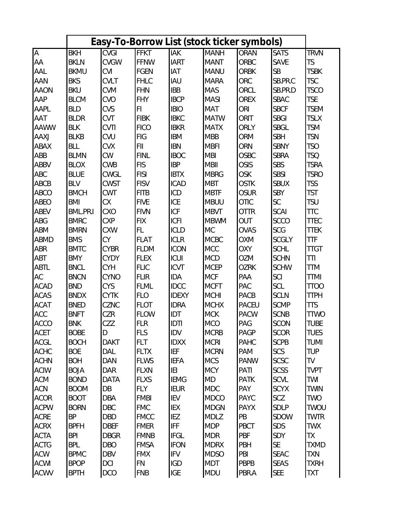|                                                                                                        |             | Easy-To-Borrow List (stock ticker symbols) |             |              |             |              |              |             |
|--------------------------------------------------------------------------------------------------------|-------------|--------------------------------------------|-------------|--------------|-------------|--------------|--------------|-------------|
| $\mathsf{A}% _{\mathsf{A}}^{\prime}=\mathsf{A}_{\mathsf{A}}^{\prime}+\mathsf{A}_{\mathsf{A}}^{\prime}$ | <b>BKH</b>  | CVGI                                       | <b>FFKT</b> | <b>IAK</b>   | <b>MANH</b> | ORAN         | <b>SATS</b>  | <b>TRVN</b> |
| AA                                                                                                     | <b>BKLN</b> | CVGW                                       | FFNW        | <b>IART</b>  | MANT        | ORBC         | SAVE         | <b>TS</b>   |
| AAL                                                                                                    | <b>BKMU</b> | <b>CVI</b>                                 | <b>FGEN</b> | <b>IAT</b>   | <b>MANU</b> | <b>ORBK</b>  | <b>SB</b>    | <b>TSBK</b> |
| AAN                                                                                                    | <b>BKS</b>  | <b>CVLT</b>                                | <b>FHLC</b> | IAU          | <b>MARA</b> | <b>ORC</b>   | SB.PR.C      | <b>TSC</b>  |
| <b>AAON</b>                                                                                            | <b>BKU</b>  | <b>CVM</b>                                 | FHN         | <b>IBB</b>   | <b>MAS</b>  | ORCL         | SB.PR.D      | <b>TSCO</b> |
| AAP                                                                                                    | <b>BLCM</b> | <b>CVO</b>                                 | <b>FHY</b>  | <b>IBCP</b>  | <b>MASI</b> | <b>OREX</b>  | <b>SBAC</b>  | <b>TSE</b>  |
| AAPL                                                                                                   | <b>BLD</b>  | CVS                                        | FI.         | <b>IBIO</b>  | MAT         | ORI          | <b>SBCF</b>  | <b>TSEM</b> |
| AAT                                                                                                    | <b>BLDR</b> | CVT                                        | <b>FIBK</b> | <b>IBKC</b>  | <b>MATW</b> | ORIT         | <b>SBGI</b>  | <b>TSLX</b> |
| <b>AAWW</b>                                                                                            | <b>BLK</b>  | <b>CVTI</b>                                | <b>FICO</b> | <b>IBKR</b>  | <b>MATX</b> | ORLY         | SBGL         | <b>TSM</b>  |
| AAXJ                                                                                                   | <b>BLKB</b> | CVU                                        | FIG         | <b>IBM</b>   | <b>MBB</b>  | ORM          | <b>SBH</b>   | <b>TSN</b>  |
| <b>ABAX</b>                                                                                            | <b>BLL</b>  | <b>CVX</b>                                 | FII.        | <b>IBN</b>   | <b>MBFI</b> | ORN          | <b>SBNY</b>  | <b>TSO</b>  |
| ABB                                                                                                    | <b>BLMN</b> | <b>CW</b>                                  | <b>FINL</b> | <b>IBOC</b>  | <b>MBI</b>  | <b>OSBC</b>  | <b>SBRA</b>  | <b>TSQ</b>  |
| ABBV                                                                                                   | <b>BLOX</b> | <b>CWB</b>                                 | <b>FIS</b>  | <b>IBP</b>   | <b>MBII</b> | <b>OSIS</b>  | <b>SBS</b>   | <b>TSRA</b> |
| <b>ABC</b>                                                                                             | <b>BLUE</b> | CWGL                                       | FISI        | <b>IBTX</b>  | <b>MBRG</b> | OSK          | <b>SBSI</b>  | <b>TSRO</b> |
| ABCB                                                                                                   | <b>BLV</b>  | <b>CWST</b>                                | <b>FISV</b> | <b>ICAD</b>  | <b>MBT</b>  | <b>OSTK</b>  | <b>SBUX</b>  | <b>TSS</b>  |
| <b>ABCO</b>                                                                                            | <b>BMCH</b> | <b>CWT</b>                                 | <b>FITB</b> | <b>ICD</b>   | <b>MBTF</b> | <b>OSUR</b>  | <b>SBY</b>   | <b>TST</b>  |
| <b>ABEO</b>                                                                                            | <b>BMI</b>  | <b>CX</b>                                  | <b>FIVE</b> | ICE          | <b>MBUU</b> | <b>OTIC</b>  | SC           | <b>TSU</b>  |
| ABEV                                                                                                   | BML.PR.I    | <b>CXO</b>                                 | <b>FIVN</b> | <b>ICF</b>   | <b>MBVT</b> | <b>OTTR</b>  | SCAI         | <b>TTC</b>  |
| <b>ABG</b>                                                                                             | <b>BMRC</b> | <b>CXP</b>                                 | <b>FIX</b>  | <b>ICFI</b>  | <b>MBWM</b> | OUT          | <b>SCCO</b>  | <b>TTEC</b> |
| ABM                                                                                                    | <b>BMRN</b> | <b>CXW</b>                                 | FL.         | <b>ICLD</b>  | <b>MC</b>   | <b>OVAS</b>  | <b>SCG</b>   | <b>TTEK</b> |
| <b>ABMD</b>                                                                                            | <b>BMS</b>  | <b>CY</b>                                  | FLAT        | <b>ICLR</b>  | <b>MCBC</b> | <b>OXM</b>   | <b>SCGLY</b> | <b>TTF</b>  |
| ABR                                                                                                    | <b>BMTC</b> | <b>CYBR</b>                                | <b>FLDM</b> | <b>ICON</b>  | <b>MCC</b>  | OXY          | <b>SCHL</b>  | <b>TTGT</b> |
| ABT                                                                                                    | <b>BMY</b>  | <b>CYDY</b>                                | <b>FLEX</b> | CU           | <b>MCD</b>  | <b>OZM</b>   | <b>SCHN</b>  | TTI         |
| <b>ABTL</b>                                                                                            | <b>BNCL</b> | <b>CYH</b>                                 | <b>FLIC</b> | ICVT         | <b>MCEP</b> | <b>OZRK</b>  | <b>SCHW</b>  | <b>TTM</b>  |
| AC                                                                                                     | <b>BNCN</b> | CYNO                                       | <b>FLIR</b> | IDA          | <b>MCF</b>  | PAA          | SCI          | <b>TTMI</b> |
| <b>ACAD</b>                                                                                            | <b>BND</b>  | <b>CYS</b>                                 | FLML        | <b>IDCC</b>  | <b>MCFT</b> | PAC          | SCL          | <b>TTOO</b> |
| <b>ACAS</b>                                                                                            | <b>BNDX</b> | <b>CYTK</b>                                | <b>FLO</b>  | <b>IDEXY</b> | <b>MCHI</b> | PACB         | <b>SCLN</b>  | <b>TTPH</b> |
| <b>ACAT</b>                                                                                            | <b>BNED</b> | <b>CZNC</b>                                | <b>FLOT</b> | <b>IDRA</b>  | <b>MCHX</b> | <b>PACEU</b> | <b>SCMP</b>  | <b>TTS</b>  |
| <b>ACC</b>                                                                                             | <b>BNFT</b> | CZR                                        | FLOW        | IDT          | <b>MCK</b>  | <b>PACW</b>  | <b>SCNB</b>  | <b>TTWO</b> |
| <b>ACCO</b>                                                                                            | <b>BNK</b>  | CZZ                                        | <b>FLR</b>  | IDTI         | <b>MCO</b>  | PAG          | <b>SCON</b>  | <b>TUBE</b> |
| <b>ACET</b>                                                                                            | <b>BOBE</b> | $\mathsf{D}$                               | <b>FLS</b>  | IDV          | <b>MCRB</b> | PAGP         | <b>SCOR</b>  | <b>TUES</b> |
| <b>ACGL</b>                                                                                            | <b>BOCH</b> | <b>DAKT</b>                                | <b>FLT</b>  | <b>IDXX</b>  | <b>MCRI</b> | PAHC         | <b>SCPB</b>  | TUMI        |
| <b>ACHC</b>                                                                                            | <b>BOE</b>  | DAL                                        | <b>FLTX</b> | <b>IEF</b>   | <b>MCRN</b> | PAM          | <b>SCS</b>   | <b>TUP</b>  |
| <b>ACHN</b>                                                                                            | <b>BOH</b>  | <b>DAN</b>                                 | <b>FLWS</b> | <b>IEFA</b>  | <b>MCS</b>  | <b>PANW</b>  | <b>SCSC</b>  | TV          |
| <b>ACIW</b>                                                                                            | <b>BOJA</b> | DAR                                        | <b>FLXN</b> | IEI          | <b>MCY</b>  | PATI         | <b>SCSS</b>  | <b>TVPT</b> |
| <b>ACM</b>                                                                                             | <b>BOND</b> | <b>DATA</b>                                | <b>FLXS</b> | <b>IEMG</b>  | <b>MD</b>   | <b>PATK</b>  | SCVL         | TWI         |
| ACN                                                                                                    | <b>BOOM</b> | DB                                         | FLY         | <b>IEUR</b>  | <b>MDC</b>  | PAY          | <b>SCYX</b>  | <b>TWIN</b> |
| <b>ACOR</b>                                                                                            | <b>BOOT</b> | <b>DBA</b>                                 | <b>FMBI</b> | IEV          | <b>MDCO</b> | PAYC         | SCZ          | <b>TWO</b>  |
| <b>ACPW</b>                                                                                            | <b>BORN</b> | <b>DBC</b>                                 | <b>FMC</b>  | IEX          | <b>MDGN</b> | PAYX         | SDLP         | TWOU        |
| <b>ACRE</b>                                                                                            | <b>BP</b>   | DBD                                        | <b>FMCC</b> | IEZ          | <b>MDLZ</b> | PB           | <b>SDOW</b>  | <b>TWTR</b> |
| <b>ACRX</b>                                                                                            | <b>BPFH</b> | <b>DBEF</b>                                | <b>FMER</b> | <b>IFF</b>   | <b>MDP</b>  | PBCT         | SDS          | <b>TWX</b>  |
| <b>ACTA</b>                                                                                            | <b>BPI</b>  | <b>DBGR</b>                                | <b>FMNB</b> | <b>IFGL</b>  | <b>MDR</b>  | PBF          | SDY          | TΧ          |
| <b>ACTG</b>                                                                                            | <b>BPL</b>  | <b>DBO</b>                                 | <b>FMSA</b> | <b>IFON</b>  | <b>MDRX</b> | PBH          | <b>SE</b>    | <b>TXMD</b> |
| <b>ACW</b>                                                                                             | <b>BPMC</b> | <b>DBV</b>                                 | <b>FMX</b>  | <b>IFV</b>   | <b>MDSO</b> | PBI          | <b>SEAC</b>  | <b>TXN</b>  |
| <b>ACWI</b>                                                                                            | <b>BPOP</b> | DCI                                        | FN          | <b>IGD</b>   | <b>MDT</b>  | PBPB         | <b>SEAS</b>  | TXRH        |
| <b>ACWV</b>                                                                                            | <b>BPTH</b> | DCO                                        | <b>FNB</b>  | <b>IGE</b>   | MDU         | PBR.A        | <b>SEE</b>   | <b>TXT</b>  |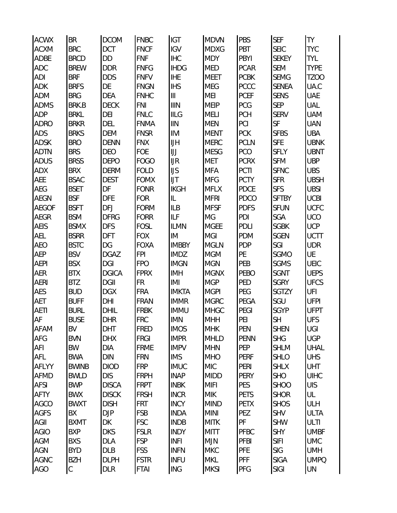| <b>ACWX</b>         | BR                        | <b>DCOM</b>                 | <b>FNBC</b>                | IGT                        | <b>MDVN</b>               | PBS         | <b>SEF</b>                 | TY                 |
|---------------------|---------------------------|-----------------------------|----------------------------|----------------------------|---------------------------|-------------|----------------------------|--------------------|
| <b>ACXM</b>         | <b>BRC</b>                | DCT                         | <b>FNCF</b>                | <b>IGV</b>                 | <b>MDXG</b>               | PBT         | <b>SEIC</b>                | <b>TYC</b>         |
| ADBE                | <b>BRCD</b>               | DD                          | <b>FNF</b>                 | <b>IHC</b>                 | <b>MDY</b>                | PBYI        | <b>SEKEY</b>               | <b>TYL</b>         |
| <b>ADC</b>          | <b>BREW</b>               | <b>DDR</b>                  | <b>FNFG</b>                | <b>IHDG</b>                | <b>MED</b>                | <b>PCAR</b> | <b>SEM</b>                 | <b>TYPE</b>        |
| ADI                 | <b>BRF</b>                | <b>DDS</b>                  | <b>FNFV</b>                | <b>IHE</b>                 | <b>MEET</b>               | <b>PCBK</b> | <b>SEMG</b>                | <b>TZOO</b>        |
| ADK                 | <b>BRFS</b>               | DE                          | <b>FNGN</b>                | <b>IHS</b>                 | <b>MEG</b>                | PCCC        | <b>SENEA</b>               | UA.C               |
| <b>ADM</b>          | <b>BRG</b>                | DEA                         | <b>FNHC</b>                | $\vert\vert\vert$          | <b>MEI</b>                | <b>PCEF</b> | <b>SENS</b>                | UAE                |
| <b>ADMS</b>         | <b>BRK.B</b>              | <b>DECK</b>                 | <b>FNI</b>                 | <b>IIIN</b>                | <b>MEIP</b>               | PCG         | <b>SEP</b>                 | UAL                |
| <b>ADP</b>          | <b>BRKL</b>               | DEI                         | <b>FNLC</b>                | <b>IILG</b>                | <b>MELI</b>               | PCH         | <b>SERV</b>                | <b>UAM</b>         |
| <b>ADRO</b>         | <b>BRKR</b>               | DEL                         | <b>FNMA</b>                | III                        | <b>MEN</b>                | PCI         | SF                         | <b>UAN</b>         |
| ADS                 | <b>BRKS</b>               | <b>DEM</b>                  | <b>FNSR</b>                | IIVI                       | <b>MENT</b>               | <b>PCK</b>  | <b>SFBS</b>                | UBA                |
| ADSK                | <b>BRO</b>                | <b>DENN</b>                 | <b>FNX</b>                 | IJH                        | <b>MERC</b>               | <b>PCLN</b> | <b>SFE</b>                 | <b>UBNK</b>        |
| <b>ADTN</b>         | <b>BRS</b>                | DEO                         | FOE                        | $\bigcup$                  | <b>MESG</b>               | PCO         | <b>SFLY</b>                | <b>UBNT</b>        |
| <b>ADUS</b>         | <b>BRSS</b>               | <b>DEPO</b>                 | <b>FOGO</b>                | JIR                        | <b>MET</b>                | <b>PCRX</b> | <b>SFM</b>                 | <b>UBP</b>         |
| ADX                 | <b>BRX</b>                | <b>DERM</b>                 | <b>FOLD</b>                | IJS                        | <b>MFA</b>                | PCTI        | <b>SFNC</b>                | <b>UBS</b>         |
| AEE                 | <b>BSAC</b>               | <b>DEST</b>                 | <b>FOMX</b>                | IJT                        | <b>MFG</b>                | <b>PCTY</b> | <b>SFR</b>                 | <b>UBSH</b>        |
| AEG                 | <b>BSET</b>               | DF                          | <b>FONR</b>                | <b>IKGH</b>                | <b>MFLX</b>               | PDCE        | <b>SFS</b>                 | <b>UBSI</b>        |
| <b>AEGN</b>         | <b>BSF</b>                | <b>DFE</b>                  | <b>FOR</b>                 | IL                         | <b>MFRI</b>               | PDCO        | <b>SFTBY</b>               | <b>UCBI</b>        |
| <b>AEGOF</b>        | <b>BSFT</b>               | DFJ                         | <b>FORM</b>                | <b>ILB</b>                 | <b>MFSF</b>               | <b>PDFS</b> | <b>SFUN</b>                | <b>UCFC</b>        |
| <b>AEGR</b>         | <b>BSM</b>                | <b>DFRG</b>                 | <b>FORR</b>                | <b>ILF</b>                 | MG                        | PDI         | SGA                        | <b>UCO</b>         |
| AEIS                | <b>BSMX</b>               | <b>DFS</b>                  | <b>FOSL</b>                | <b>ILMN</b>                | <b>MGEE</b>               | PDLI        | <b>SGBK</b>                | <b>UCP</b>         |
| AEL                 | <b>BSRR</b>               | DFT                         | <b>FOX</b>                 | IM                         | <b>MGI</b>                | PDM         | <b>SGEN</b>                | <b>UCTT</b>        |
| <b>AEO</b>          | <b>BSTC</b>               | DG                          | <b>FOXA</b>                | <b>IMBBY</b>               | <b>MGLN</b>               | PDP         | SGI                        | <b>UDR</b>         |
| <b>AEP</b>          | <b>BSV</b>                | <b>DGAZ</b>                 | <b>FPI</b>                 | <b>IMDZ</b>                | <b>MGM</b>                | PE          | <b>SGMO</b>                | UE                 |
| <b>AEPI</b>         | <b>BSX</b>                | DGI                         | <b>FPO</b>                 | <b>IMGN</b>                | <b>MGN</b>                | PEB         | <b>SGMS</b>                | UEIC               |
| AER                 | <b>BTX</b>                | <b>DGICA</b>                | <b>FPRX</b>                | <b>IMH</b>                 | <b>MGNX</b>               | PEBO        | SGNT                       | <b>UEPS</b>        |
| <b>AERI</b>         | <b>BTZ</b>                | <b>DGII</b>                 | FR                         | IMI                        | <b>MGP</b>                | PED         | <b>SGRY</b>                | <b>UFCS</b>        |
| AES                 | <b>BUD</b>                | <b>DGX</b>                  | <b>FRA</b>                 | <b>IMKTA</b>               | <b>MGPI</b>               | PEG         | SGTZY                      | UFI                |
| AET                 | <b>BUFF</b>               | DHI                         | <b>FRAN</b>                | <b>IMMR</b>                | <b>MGRC</b>               | PEGA        | SGU                        | <b>UFPI</b>        |
| <b>AETI</b>         | <b>BURL</b>               | DHIL                        | <b>FRBK</b>                | <b>IMMU</b>                | <b>MHGC</b>               | PEGI        | <b>SGYP</b>                | <b>UFPT</b>        |
| AF                  | <b>BUSE</b>               | DHR                         | <b>FRC</b>                 | <b>IMN</b>                 | <b>MHH</b>                | PEI         | <b>SH</b>                  | <b>UFS</b>         |
| <b>AFAM</b>         | BV                        | DHT                         | <b>FRED</b>                | <b>IMOS</b>                | <b>MHK</b>                | PEN         | <b>SHEN</b>                | UGI                |
| AFG                 | <b>BVN</b>                | <b>DHX</b>                  | <b>FRGI</b>                | <b>IMPR</b>                | <b>MHLD</b>               | <b>PENN</b> | <b>SHG</b>                 | <b>UGP</b>         |
| AFI                 | BW                        | DIA                         | <b>FRME</b>                | <b>IMPV</b>                | <b>MHN</b>                | <b>PEP</b>  | <b>SHLM</b>                | <b>UHAL</b>        |
| AFL                 | <b>BWA</b>                | DIN                         | <b>FRN</b>                 | <b>IMS</b>                 | <b>MHO</b>                | <b>PERF</b> | <b>SHLO</b>                | <b>UHS</b>         |
| AFLYY               | <b>BWINB</b>              | <b>DIOD</b>                 | <b>FRP</b>                 | <b>IMUC</b>                | <b>MIC</b>                | PERI        | <b>SHLX</b>                | <b>UHT</b>         |
| <b>AFMD</b>         | <b>BWLD</b><br><b>BWP</b> | <b>DIS</b>                  | <b>FRPH</b><br><b>FRPT</b> | <b>INAP</b>                | <b>MIDD</b>               | PERY<br>PES | <b>SHO</b>                 | <b>UIHC</b><br>UIS |
| AFSI                |                           | <b>DISCA</b>                |                            | <b>INBK</b>                | <b>MIFI</b>               | <b>PETS</b> | <b>SHOO</b>                |                    |
| <b>AFTY</b>         | <b>BWX</b>                | <b>DISCK</b><br><b>DISH</b> | <b>FRSH</b><br><b>FRT</b>  | <b>INCR</b>                | <b>MIK</b><br><b>MIND</b> | <b>PETX</b> | <b>SHOR</b><br><b>SHOS</b> | UL<br>ULH          |
| AGCO<br><b>AGFS</b> | <b>BWXT</b><br>BX         | DJP                         | <b>FSB</b>                 | <b>INCY</b><br><b>INDA</b> | <b>MINI</b>               | PEZ         | <b>SHV</b>                 | <b>ULTA</b>        |
| AGII                | <b>BXMT</b>               | DK                          | <b>FSC</b>                 | <b>INDB</b>                | <b>MITK</b>               | PF          | <b>SHW</b>                 | <b>ULTI</b>        |
| <b>AGIO</b>         | <b>BXP</b>                | <b>DKS</b>                  | <b>FSLR</b>                | <b>INDY</b>                | <b>MITT</b>               | PFBC        | <b>SHY</b>                 | <b>UMBF</b>        |
| AGM                 | <b>BXS</b>                | DLA                         | <b>FSP</b>                 | <b>INFI</b>                | <b>MJN</b>                | PFBI        | <b>SIFI</b>                | <b>UMC</b>         |
| AGN                 | <b>BYD</b>                | <b>DLB</b>                  | <b>FSS</b>                 | <b>INFN</b>                | <b>MKC</b>                | <b>PFE</b>  | <b>SIG</b>                 | <b>UMH</b>         |
| <b>AGNC</b>         | <b>BZH</b>                | <b>DLPH</b>                 | <b>FSTR</b>                | <b>INFU</b>                | <b>MKL</b>                | <b>PFF</b>  | <b>SIGA</b>                | <b>UMPQ</b>        |
| AGO                 | C                         | DLR                         | <b>FTAI</b>                | ING                        | <b>MKSI</b>               | PFG         | SIGI                       | UN                 |
|                     |                           |                             |                            |                            |                           |             |                            |                    |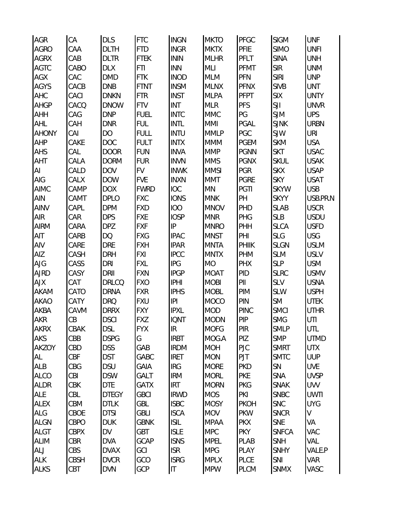| <b>AGR</b>   | СA          | <b>DLS</b>   | <b>FTC</b>  | <b>INGN</b>    | <b>MKTO</b> | PFGC        | <b>SIGM</b>  | <b>UNF</b>  |
|--------------|-------------|--------------|-------------|----------------|-------------|-------------|--------------|-------------|
| <b>AGRO</b>  | CAA         | <b>DLTH</b>  | <b>FTD</b>  | <b>INGR</b>    | <b>MKTX</b> | PFIE        | <b>SIMO</b>  | <b>UNFI</b> |
| <b>AGRX</b>  | CAB         | <b>DLTR</b>  | <b>FTEK</b> | <b>ININ</b>    | <b>MLHR</b> | PFLT        | <b>SINA</b>  | UNH         |
| <b>AGTC</b>  | CABO        | <b>DLX</b>   | <b>FTI</b>  | <b>INN</b>     | MLI         | PFMT        | <b>SIR</b>   | <b>UNM</b>  |
| AGX          | CAC         | <b>DMD</b>   | <b>FTK</b>  | <b>INOD</b>    | <b>MLM</b>  | PFN         | SIRI         | <b>UNP</b>  |
| <b>AGYS</b>  | CACB        | <b>DNB</b>   | <b>FTNT</b> | <b>INSM</b>    | <b>MLNX</b> | <b>PFNX</b> | <b>SIVB</b>  | UNT         |
| AHC          | CACI        | <b>DNKN</b>  | <b>FTR</b>  | <b>INST</b>    | <b>MLPA</b> | <b>PFPT</b> | <b>SIX</b>   | <b>UNTY</b> |
| <b>AHGP</b>  | CACQ        | <b>DNOW</b>  | <b>FTV</b>  | <b>INT</b>     | <b>MLR</b>  | <b>PFS</b>  | SJI          | <b>UNVR</b> |
| <b>AHH</b>   | CAG         | <b>DNP</b>   | <b>FUEL</b> | <b>INTC</b>    | <b>MMC</b>  | PG          | <b>SJM</b>   | <b>UPS</b>  |
| AHL          | CAH         | <b>DNR</b>   | <b>FUL</b>  | <b>INTL</b>    | <b>MMI</b>  | PGAL        | <b>SJNK</b>  | <b>URBN</b> |
| <b>AHONY</b> | CAI         | DO           | <b>FULL</b> | INTU           | <b>MMLP</b> | PGC         | SJW          | URI         |
| <b>AHP</b>   | CAKE        | <b>DOC</b>   | <b>FULT</b> | <b>INTX</b>    | <b>MMM</b>  | <b>PGEM</b> | <b>SKM</b>   | <b>USA</b>  |
| AHS          | CAL         | <b>DOOR</b>  | <b>FUN</b>  | <b>INVA</b>    | <b>MMP</b>  | <b>PGNN</b> | <b>SKT</b>   | <b>USAC</b> |
| AHT          | CALA        | <b>DORM</b>  | <b>FUR</b>  | <b>INVN</b>    | <b>MMS</b>  | <b>PGNX</b> | <b>SKUL</b>  | <b>USAK</b> |
| Al           | CALD        | <b>DOV</b>   | <b>FV</b>   | <b>INWK</b>    | <b>MMSI</b> | PGR         | <b>SKX</b>   | <b>USAP</b> |
| AIG          | CALX        | <b>DOW</b>   | <b>FVE</b>  | <b>INXN</b>    | <b>MMT</b>  | <b>PGRE</b> | <b>SKY</b>   | <b>USAT</b> |
| <b>AIMC</b>  | CAMP        | <b>DOX</b>   | <b>FWRD</b> | <b>IOC</b>     | <b>MN</b>   | PGTI        | <b>SKYW</b>  | <b>USB</b>  |
| <b>AIN</b>   | CAMT        | <b>DPLO</b>  | <b>FXC</b>  | <b>IONS</b>    | <b>MNK</b>  | PH          | <b>SKYY</b>  | USB.PR.N    |
| <b>AINV</b>  | CAPL        | <b>DPM</b>   | <b>FXD</b>  | <b>IOO</b>     | <b>MNOV</b> | PHD         | <b>SLAB</b>  | <b>USCR</b> |
| <b>AIR</b>   | CAR         | <b>DPS</b>   | <b>FXE</b>  | <b>IOSP</b>    | <b>MNR</b>  | PHG         | <b>SLB</b>   | <b>USDU</b> |
| <b>AIRM</b>  | CARA        | DPZ          | <b>FXF</b>  | $\sf IP$       | <b>MNRO</b> | PHH         | <b>SLCA</b>  | <b>USFD</b> |
| AIT          | CARB        | DQ           | <b>FXG</b>  | <b>IPAC</b>    | <b>MNST</b> | PHI         | <b>SLG</b>   | <b>USG</b>  |
| AIV          | CARE        | <b>DRE</b>   | <b>FXH</b>  | <b>IPAR</b>    | <b>MNTA</b> | PHIIK       | <b>SLGN</b>  | <b>USLM</b> |
| AIZ          | CASH        | DRH          | <b>FXI</b>  | <b>IPCC</b>    | <b>MNTX</b> | PHM         | <b>SLM</b>   | <b>USLV</b> |
| AJG          | CASS        | DRI          | <b>FXL</b>  | <b>IPG</b>     | <b>MO</b>   | <b>PHX</b>  | <b>SLP</b>   | <b>USM</b>  |
| <b>AJRD</b>  | CASY        | DRII         | <b>FXN</b>  | <b>IPGP</b>    | <b>MOAT</b> | PID         | <b>SLRC</b>  | <b>USMV</b> |
| <b>AJX</b>   | CAT         | DRLCQ        | <b>FXO</b>  | <b>IPHI</b>    | <b>MOBI</b> | P           | <b>SLV</b>   | <b>USNA</b> |
| <b>AKAM</b>  | CATO        | <b>DRNA</b>  | <b>FXR</b>  | <b>IPHS</b>    | <b>MOBL</b> | PIM         | <b>SLW</b>   | <b>USPH</b> |
| <b>AKAO</b>  | CATY        | <b>DRQ</b>   | <b>FXU</b>  | $ \mathsf{P} $ | <b>MOCO</b> | PIN         | <b>SM</b>    | <b>UTEK</b> |
| AKBA         | CAVM        | <b>DRRX</b>  | <b>FXY</b>  | <b>IPXL</b>    | <b>MOD</b>  | <b>PINC</b> | <b>SMCI</b>  | <b>UTHR</b> |
| <b>AKR</b>   | CB          | <b>DSCI</b>  | <b>FXZ</b>  | <b>IQNT</b>    | <b>MODN</b> | PIP         | <b>SMG</b>   | UTI         |
| <b>AKRX</b>  | <b>CBAK</b> | <b>DSL</b>   | <b>FYX</b>  | IR             | <b>MOFG</b> | PIR         | <b>SMLP</b>  | UTL         |
| <b>AKS</b>   | CBB         | <b>DSPG</b>  | G           | <b>IRBT</b>    | MOG.A       | PIZ         | <b>SMP</b>   | <b>UTMD</b> |
| AKZOY        | CBD         | <b>DSS</b>   | GAB         | <b>IRDM</b>    | <b>MOH</b>  | PJC         | <b>SMRT</b>  | <b>UTX</b>  |
| AL           | CBF         | <b>DST</b>   | GABC        | <b>IRET</b>    | <b>MON</b>  | PJT         | <b>SMTC</b>  | <b>UUP</b>  |
| ALB          | CBG         | <b>DSU</b>   | <b>GAIA</b> | <b>IRG</b>     | <b>MORE</b> | <b>PKD</b>  | SN           | <b>UVE</b>  |
| <b>ALCO</b>  | CBI         | <b>DSW</b>   | GALT        | <b>IRM</b>     | <b>MORL</b> | <b>PKE</b>  | SNA          | <b>UVSP</b> |
| <b>ALDR</b>  | <b>CBK</b>  | <b>DTE</b>   | <b>GATX</b> | <b>IRT</b>     | <b>MORN</b> | PKG         | <b>SNAK</b>  | UVV         |
| ALE          | CBL         | <b>DTEGY</b> | <b>GBCI</b> | <b>IRWD</b>    | <b>MOS</b>  | PKI         | <b>SNBC</b>  | <b>UWTI</b> |
| <b>ALEX</b>  | CBM         | <b>DTLK</b>  | GBL         | <b>ISBC</b>    | <b>MOSY</b> | <b>PKOH</b> | <b>SNC</b>   | <b>UYG</b>  |
| ALG          | CBOE        | <b>DTSI</b>  | <b>GBLI</b> | <b>ISCA</b>    | <b>MOV</b>  | <b>PKW</b>  | <b>SNCR</b>  | V           |
| <b>ALGN</b>  | CBPO        | DUK          | <b>GBNK</b> | <b>ISIL</b>    | <b>MPAA</b> | <b>PKX</b>  | SNE          | VA          |
| <b>ALGT</b>  | <b>CBPX</b> | DV           | GBT         | <b>ISLE</b>    | <b>MPC</b>  | <b>PKY</b>  | <b>SNFCA</b> | VAC         |
| <b>ALIM</b>  | <b>CBR</b>  | <b>DVA</b>   | GCAP        | <b>ISNS</b>    | <b>MPEL</b> | <b>PLAB</b> | SNH          | VAL         |
| ALJ          | CBS         | <b>DVAX</b>  | GCI         | <b>ISR</b>     | <b>MPG</b>  | PLAY        | <b>SNHY</b>  | VALE.P      |
| <b>ALK</b>   | <b>CBSH</b> | <b>DVCR</b>  | GCO         | <b>ISRG</b>    | <b>MPLX</b> | <b>PLCE</b> | SNI          | VAR         |
| <b>ALKS</b>  | CBT         | DVN          | GCP         | $ \mathsf{T} $ | <b>MPW</b>  | PLCM        | <b>SNMX</b>  | VASC        |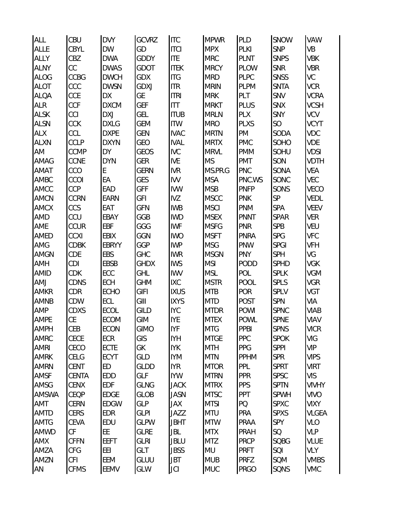| <b>ALL</b>   | CBU         | <b>DVY</b>   | GCVRZ       | <b>ITC</b>  | <b>MPWR</b> | PLD         | <b>SNOW</b> | VAW          |
|--------------|-------------|--------------|-------------|-------------|-------------|-------------|-------------|--------------|
| <b>ALLE</b>  | CBYL        | DW           | GD          | <b>ITCI</b> | <b>MPX</b>  | PLKI        | <b>SNP</b>  | VB           |
| <b>ALLY</b>  | CBZ         | <b>DWA</b>   | <b>GDDY</b> | <b>ITE</b>  | <b>MRC</b>  | <b>PLNT</b> | <b>SNPS</b> | <b>VBK</b>   |
| <b>ALNY</b>  | CC          | <b>DWAS</b>  | GDOT        | <b>ITEK</b> | <b>MRCY</b> | <b>PLOW</b> | <b>SNR</b>  | <b>VBR</b>   |
| <b>ALOG</b>  | CCBG        | <b>DWCH</b>  | <b>GDX</b>  | <b>ITG</b>  | <b>MRD</b>  | <b>PLPC</b> | <b>SNSS</b> | VC           |
| <b>ALOT</b>  | CCC         | <b>DWSN</b>  | GDXJ        | <b>ITR</b>  | <b>MRIN</b> | <b>PLPM</b> | <b>SNTA</b> | <b>VCR</b>   |
| <b>ALQA</b>  | CCE         | DХ           | GE          | <b>ITRI</b> | <b>MRK</b>  | PLT         | SNV         | <b>VCRA</b>  |
| <b>ALR</b>   | <b>CCF</b>  | <b>DXCM</b>  | <b>GEF</b>  | <b>ITT</b>  | <b>MRKT</b> | PLUS        | <b>SNX</b>  | <b>VCSH</b>  |
| <b>ALSK</b>  | CCI         | <b>DXJ</b>   | GEL         | <b>ITUB</b> | <b>MRLN</b> | PLX         | SNY         | <b>VCV</b>   |
| <b>ALSN</b>  | CCK         | <b>DXLG</b>  | <b>GEM</b>  | <b>ITW</b>  | <b>MRO</b>  | PLXS        | SO          | <b>VCYT</b>  |
| ALX          | CCL         | <b>DXPE</b>  | <b>GEN</b>  | <b>IVAC</b> | <b>MRTN</b> | PM          | SODA        | VDC          |
| <b>ALXN</b>  | <b>CCLP</b> | <b>DXYN</b>  | GEO         | <b>IVAL</b> | <b>MRTX</b> | <b>PMC</b>  | SOHO        | VDE          |
| AM           | <b>CCMP</b> | DY           | GEOS        | <b>IVC</b>  | <b>MRVL</b> | <b>PMM</b>  | SOHU        | <b>VDSI</b>  |
| AMAG         | CCNE        | <b>DYN</b>   | <b>GER</b>  | <b>IVE</b>  | <b>MS</b>   | PMT         | SON         | <b>VDTH</b>  |
| AMAT         | CCO         | E            | <b>GERN</b> | <b>IVR</b>  | MS.PR.G     | <b>PNC</b>  | SONA        | <b>VEA</b>   |
| AMBC         | CCOI        | EА           | GES         | <b>IVV</b>  | <b>MSA</b>  | PNC.WS      | SONC        | VEC          |
| AMCC         | CCP         | EAD          | <b>GFF</b>  | <b>IVW</b>  | <b>MSB</b>  | <b>PNFP</b> | SONS        | VECO         |
| <b>AMCN</b>  | <b>CCRN</b> | EARN         | <b>GFI</b>  | <b>IVZ</b>  | <b>MSCC</b> | <b>PNK</b>  | SP          | VEDL         |
| <b>AMCX</b>  | CCS         | EAT          | <b>GFN</b>  | <b>IWB</b>  | <b>MSCI</b> | PNM         | SPA         | <b>VEEV</b>  |
| AMD          | CCU         | EBAY         | GGB         | <b>IWD</b>  | <b>MSEX</b> | <b>PNNT</b> | SPAR        | <b>VER</b>   |
| AME          | <b>CCUR</b> | <b>EBF</b>   | GGG         | <b>IWF</b>  | <b>MSFG</b> | <b>PNR</b>  | <b>SPB</b>  | VEU          |
| AMED         | <b>CCXI</b> | EBIX         | GGN         | <b>IWO</b>  | <b>MSFT</b> | PNRA        | <b>SPG</b>  | <b>VFC</b>   |
| AMG          | CDBK        | <b>EBRYY</b> | GGP         | <b>IWP</b>  | <b>MSG</b>  | PNW         | <b>SPGI</b> | VFH          |
| AMGN         | CDE         | <b>EBS</b>   | GHC         | <b>IWR</b>  | <b>MSGN</b> | <b>PNY</b>  | SPH         | VG           |
| AMH          | CDI         | EBSB         | <b>GHDX</b> | <b>IWS</b>  | <b>MSI</b>  | PODD        | <b>SPHD</b> | VGK          |
| <b>AMID</b>  | <b>CDK</b>  | ECC          | GHL         | <b>IWV</b>  | <b>MSL</b>  | POL         | <b>SPLK</b> | <b>VGM</b>   |
| AMJ          | CDNS        | <b>ECH</b>   | <b>GHM</b>  | <b>IXC</b>  | <b>MSTR</b> | <b>POOL</b> | <b>SPLS</b> | VGR          |
| AMKR         | CDR         | <b>ECHO</b>  | GIFI        | <b>IXUS</b> | <b>MTB</b>  | <b>POR</b>  | SPLV        | VGT          |
| <b>AMNB</b>  | CDW         | ECL          | GIII        | <b>IXYS</b> | <b>MTD</b>  | POST        | <b>SPN</b>  | VIA          |
| AMP          | CDXS        | <b>ECOL</b>  | <b>GILD</b> | <b>IYC</b>  | <b>MTDR</b> | <b>POWI</b> | <b>SPNC</b> | <b>VIAB</b>  |
| AMPE         | <b>CE</b>   | <b>ECOM</b>  | GIM         | <b>IYE</b>  | <b>MTEX</b> | <b>POWL</b> | <b>SPNE</b> | VIAV         |
| <b>AMPH</b>  | CEB         | <b>ECON</b>  | <b>GIMO</b> | <b>IYF</b>  | <b>MTG</b>  | PPBI        | <b>SPNS</b> | <b>VICR</b>  |
| AMRC         | CECE        | ECR          | GIS         | <b>IYH</b>  | <b>MTGE</b> | <b>PPC</b>  | <b>SPOK</b> | VIG          |
| <b>AMRI</b>  | CECO        | <b>ECTE</b>  | GK          | <b>IYK</b>  | <b>MTH</b>  | <b>PPG</b>  | <b>SPPI</b> | <b>VIP</b>   |
| <b>AMRK</b>  | CELG        | <b>ECYT</b>  | GLD         | <b>IYM</b>  | <b>MTN</b>  | <b>PPHM</b> | <b>SPR</b>  | <b>VIPS</b>  |
| <b>AMRN</b>  | <b>CENT</b> | ED           | GLDD        | <b>IYR</b>  | <b>MTOR</b> | PPL         | <b>SPRT</b> | <b>VIRT</b>  |
| AMSF         | CENTA       | <b>EDD</b>   | GLF         | <b>IYW</b>  | <b>MTRN</b> | <b>PPR</b>  | <b>SPSC</b> | <b>VIS</b>   |
| AMSG         | <b>CENX</b> | <b>EDF</b>   | GLNG        | <b>JACK</b> | <b>MTRX</b> | <b>PPS</b>  | <b>SPTN</b> | <b>VIVHY</b> |
| <b>AMSWA</b> | CEQP        | <b>EDGE</b>  | <b>GLOB</b> | <b>JASN</b> | <b>MTSC</b> | PPT         | <b>SPWH</b> | <b>VIVO</b>  |
| AMT          | <b>CERN</b> | <b>EDGW</b>  | <b>GLP</b>  | JAX         | <b>MTSI</b> | PQ          | <b>SPXC</b> | <b>VIXY</b>  |
| <b>AMTD</b>  | <b>CERS</b> | <b>EDR</b>   | <b>GLPI</b> | JAZZ        | <b>MTU</b>  | PRA         | <b>SPXS</b> | VLGEA        |
| AMTG         | CEVA        | EDU          | <b>GLPW</b> | <b>JBHT</b> | <b>MTW</b>  | PRAA        | SPY         | VLO          |
| AMWD         | CF          | EE           | <b>GLRE</b> | JBL         | <b>MTX</b>  | PRAH        | SQ          | <b>VLP</b>   |
| <b>AMX</b>   | <b>CFFN</b> | <b>EEFT</b>  | <b>GLRI</b> | <b>JBLU</b> | <b>MTZ</b>  | <b>PRCP</b> | <b>SQBG</b> | <b>VLUE</b>  |
| AMZA         | CFG         | EEI          | GLT         | <b>JBSS</b> | MU          | <b>PRFT</b> | SQI         | <b>VLY</b>   |
| AMZN         | <b>CFI</b>  | EEM          | GLUU        | JBT         | <b>MUB</b>  | <b>PRFZ</b> | SQM         | <b>VMBS</b>  |
| AN           | <b>CFMS</b> | EEMV         | GLW         | JCI         | <b>MUC</b>  | PRGO        | SQNS        | <b>VMC</b>   |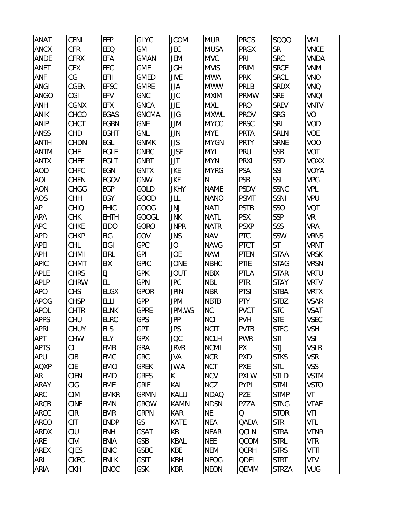| <b>ANAT</b> | CFNL        | EEP         | <b>GLYC</b>  | <b>JCOM</b> | <b>MUR</b>   | <b>PRGS</b> | <b>SQQQ</b>  | VMI         |
|-------------|-------------|-------------|--------------|-------------|--------------|-------------|--------------|-------------|
| <b>ANCX</b> | <b>CFR</b>  | EEQ         | GM           | <b>JEC</b>  | <b>MUSA</b>  | <b>PRGX</b> | SR           | <b>VNCE</b> |
| <b>ANDE</b> | <b>CFRX</b> | EFA         | <b>GMAN</b>  | JEM         | <b>MVC</b>   | PRI         | <b>SRC</b>   | <b>VNDA</b> |
| ANET        | <b>CFX</b>  | <b>EFC</b>  | <b>GME</b>   | <b>JGH</b>  | <b>MVIS</b>  | PRIM        | <b>SRCE</b>  | <b>VNM</b>  |
| ANF         | CG          | EFII        | <b>GMED</b>  | <b>JIVE</b> | <b>MWA</b>   | <b>PRK</b>  | <b>SRCL</b>  | <b>VNO</b>  |
| <b>ANGI</b> | CGEN        | <b>EFSC</b> | <b>GMRE</b>  | JJA         | <b>MWW</b>   | PRLB        | <b>SRDX</b>  | VNQ         |
| ANGO        | CGI         | EFV         | GNC          | JJC         | <b>MXIM</b>  | PRMW        | <b>SRE</b>   | VNQI        |
| <b>ANH</b>  | CGNX        | EFX         | <b>GNCA</b>  | JJE         | <b>MXL</b>   | PRO         | <b>SREV</b>  | <b>VNTV</b> |
| <b>ANIK</b> | CHCO        | EGAS        | <b>GNCMA</b> | JJG         | <b>MXWL</b>  | <b>PROV</b> | <b>SRG</b>   | VO          |
| <b>ANIP</b> | CHCT        | <b>EGBN</b> | <b>GNE</b>   | JJM         | <b>MYCC</b>  | <b>PRSC</b> | SRI          | VOD         |
| ANSS        | CHD         | <b>EGHT</b> | GNL          | JJN         | <b>MYE</b>   | PRTA        | <b>SRLN</b>  | VOE         |
| <b>ANTH</b> | <b>CHDN</b> | EGL         | <b>GNMK</b>  | <b>JJS</b>  | <b>MYGN</b>  | <b>PRTY</b> | <b>SRNE</b>  | VOO         |
| <b>ANTM</b> | <b>CHE</b>  | <b>EGLE</b> | <b>GNRC</b>  | <b>JJSF</b> | <b>MYL</b>   | PRU         | <b>SSB</b>   | VOT         |
| <b>ANTX</b> | <b>CHEF</b> | <b>EGLT</b> | GNRT         | JJT         | <b>MYN</b>   | <b>PRXL</b> | SSD          | <b>VOXX</b> |
| <b>AOD</b>  | CHFC        | EGN         | <b>GNTX</b>  | <b>JKE</b>  | <b>MYRG</b>  | PSA         | SSI          | <b>VOYA</b> |
| <b>AOI</b>  | <b>CHFN</b> | EGOV        | <b>GNW</b>   | <b>JKF</b>  | $\mathsf{N}$ | PSB         | SSL          | <b>VPG</b>  |
| <b>AON</b>  | <b>CHGG</b> | <b>EGP</b>  | GOLD         | <b>JKHY</b> | <b>NAME</b>  | <b>PSDV</b> | <b>SSNC</b>  | VPL         |
| <b>AOS</b>  | <b>CHH</b>  | EGY         | GOOD         | JLL         | <b>NANO</b>  | <b>PSMT</b> | SSNI         | VPU         |
| AP          | CHIQ        | <b>EHIC</b> | GOOG         | JNJ         | <b>NATI</b>  | <b>PSTB</b> | SSO          | VQT         |
| <b>APA</b>  | <b>CHK</b>  | <b>EHTH</b> | <b>GOOGL</b> | <b>JNK</b>  | <b>NATL</b>  | <b>PSX</b>  | SSP          | VR          |
| <b>APC</b>  | <b>CHKE</b> | <b>EIDO</b> | GORO         | <b>JNPR</b> | <b>NATR</b>  | <b>PSXP</b> | SSS          | <b>VRA</b>  |
| <b>APD</b>  | CHKP        | EIG         | GOV          | <b>JNS</b>  | <b>NAV</b>   | PTC         | SSW          | <b>VRNS</b> |
| <b>APEI</b> | CHL         | <b>EIGI</b> | GPC          | JO          | <b>NAVG</b>  | <b>PTCT</b> | ST           | <b>VRNT</b> |
| <b>APH</b>  | CHMI        | <b>EIRL</b> | <b>GPI</b>   | <b>JOE</b>  | <b>NAVI</b>  | <b>PTEN</b> | <b>STAA</b>  | <b>VRSK</b> |
| <b>APIC</b> | <b>CHMT</b> | <b>EIX</b>  | <b>GPIC</b>  | <b>JONE</b> | <b>NBHC</b>  | PTIE        | <b>STAG</b>  | <b>VRSN</b> |
| APLE        | <b>CHRS</b> | EJ          | <b>GPK</b>   | <b>JOUT</b> | <b>NBIX</b>  | PTLA        | <b>STAR</b>  | <b>VRTU</b> |
| <b>APLP</b> | CHRW        | EL          | <b>GPN</b>   | <b>JPC</b>  | <b>NBL</b>   | <b>PTR</b>  | <b>STAY</b>  | <b>VRTV</b> |
| <b>APO</b>  | <b>CHS</b>  | <b>ELGX</b> | <b>GPOR</b>  | <b>JPIN</b> | <b>NBR</b>   | <b>PTSI</b> | <b>STBA</b>  | <b>VRTX</b> |
| <b>APOG</b> | <b>CHSP</b> | <b>ELLI</b> | GPP          | <b>JPM</b>  | <b>NBTB</b>  | <b>PTY</b>  | <b>STBZ</b>  | <b>VSAR</b> |
| <b>APOL</b> | CHTR        | <b>ELNK</b> | <b>GPRE</b>  | JPM.WS      | <b>NC</b>    | <b>PVCT</b> | <b>STC</b>   | <b>VSAT</b> |
| <b>APPS</b> | CHU         | <b>ELRC</b> | GPS          | <b>JPP</b>  | <b>NCI</b>   | PVH         | <b>STE</b>   | <b>VSEC</b> |
| <b>APRI</b> | CHUY        | ELS         | <b>GPT</b>   | <b>JPS</b>  | <b>NCIT</b>  | <b>PVTB</b> | <b>STFC</b>  | VSH         |
| APT         | <b>CHW</b>  | <b>ELY</b>  | <b>GPX</b>   | JQC         | <b>NCLH</b>  | <b>PWR</b>  | STI          | VSI         |
| <b>APTS</b> | CI          | <b>EMB</b>  | GRA          | <b>JRVR</b> | <b>NCMI</b>  | <b>PX</b>   | STJ          | <b>VSLR</b> |
| APU         | CIB         | <b>EMC</b>  | GRC          | JVA         | <b>NCR</b>   | PXD         | <b>STKS</b>  | <b>VSR</b>  |
| <b>AQXP</b> | <b>CIE</b>  | <b>EMCI</b> | <b>GREK</b>  | JW.A        | <b>NCT</b>   | <b>PXE</b>  | STL          | <b>VSS</b>  |
| <b>AR</b>   | <b>CIEN</b> | <b>EMD</b>  | <b>GRFS</b>  | $\sf K$     | <b>NCV</b>   | <b>PXLW</b> | <b>STLD</b>  | <b>VSTM</b> |
| <b>ARAY</b> | CIG         | <b>EME</b>  | <b>GRIF</b>  | KAI         | <b>NCZ</b>   | <b>PYPL</b> | <b>STML</b>  | <b>VSTO</b> |
| ARC         | <b>CIM</b>  | <b>EMKR</b> | <b>GRMN</b>  | KALU        | <b>NDAQ</b>  | PZE         | <b>STMP</b>  | VT          |
| ARCB        | <b>CINF</b> | <b>EMN</b>  | <b>GROW</b>  | <b>KAMN</b> | <b>NDSN</b>  | PZZA        | <b>STNG</b>  | <b>VTAE</b> |
| ARCC        | <b>CIR</b>  | <b>EMR</b>  | <b>GRPN</b>  | <b>KAR</b>  | <b>NE</b>    | Q           | <b>STOR</b>  | VTI         |
| <b>ARCO</b> | <b>CIT</b>  | <b>ENDP</b> | GS           | <b>KATE</b> | <b>NEA</b>   | QADA        | <b>STR</b>   | VTL         |
| <b>ARDX</b> | CIU         | <b>ENH</b>  | GSAT         | KB          | <b>NEAR</b>  | <b>QCLN</b> | <b>STRA</b>  | <b>VTNR</b> |
| ARE         | CIVI        | <b>ENIA</b> | <b>GSB</b>   | <b>KBAL</b> | <b>NEE</b>   | QCOM        | <b>STRL</b>  | <b>VTR</b>  |
| AREX        | <b>CJES</b> | <b>ENIC</b> | <b>GSBC</b>  | <b>KBE</b>  | <b>NEM</b>   | <b>QCRH</b> | <b>STRS</b>  | VTTI        |
| <b>ARI</b>  | <b>CKEC</b> | <b>ENLK</b> | <b>GSIT</b>  | <b>KBH</b>  | <b>NEOG</b>  | <b>QDEL</b> | <b>STRT</b>  | VTV         |
| <b>ARIA</b> | <b>CKH</b>  | <b>ENOC</b> | GSK          | <b>KBR</b>  | <b>NEON</b>  | QEMM        | <b>STRZA</b> | VUG         |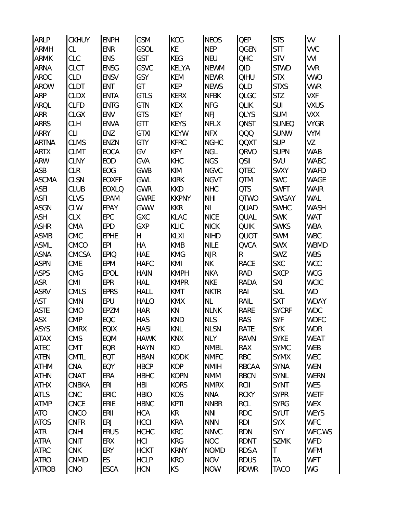| <b>ARLP</b>  | <b>CKHUY</b> | <b>ENPH</b>  | GSM           | <b>KCG</b>   | <b>NEOS</b>    | <b>QEP</b>  | <b>STS</b>   | VV          |
|--------------|--------------|--------------|---------------|--------------|----------------|-------------|--------------|-------------|
| <b>ARMH</b>  | CL           | <b>ENR</b>   | GSOL          | KE           | <b>NEP</b>     | QGEN        | <b>STT</b>   | VVC         |
| <b>ARMK</b>  | CLC          | <b>ENS</b>   | <b>GST</b>    | KEG          | <b>NEU</b>     | QHC         | <b>STV</b>   | VVI         |
| <b>ARNA</b>  | <b>CLCT</b>  | <b>ENSG</b>  | GSVC          | KELYA        | <b>NEWM</b>    | QID         | <b>STWD</b>  | <b>VVR</b>  |
| AROC         | CLD          | <b>ENSV</b>  | GSY           | <b>KEM</b>   | <b>NEWR</b>    | <b>QIHU</b> | <b>STX</b>   | <b>VWO</b>  |
| <b>AROW</b>  | <b>CLDT</b>  | ENT          | GT            | <b>KEP</b>   | <b>NEWS</b>    | QLD         | <b>STXS</b>  | <b>VWR</b>  |
| ARP          | <b>CLDX</b>  | <b>ENTA</b>  | GTLS          | <b>KERX</b>  | <b>NFBK</b>    | <b>QLGC</b> | <b>STZ</b>   | <b>VXF</b>  |
| ARQL         | <b>CLFD</b>  | <b>ENTG</b>  | GTN           | <b>KEX</b>   | <b>NFG</b>     | <b>QLIK</b> | SUI          | <b>VXUS</b> |
| ARR          | <b>CLGX</b>  | ENV          | <b>GTS</b>    | <b>KEY</b>   | <b>NFJ</b>     | <b>QLYS</b> | <b>SUM</b>   | VXX         |
| <b>ARRS</b>  | <b>CLH</b>   | <b>ENVA</b>  | GTT           | <b>KEYS</b>  | <b>NFLX</b>    | <b>QNST</b> | <b>SUNEQ</b> | <b>VYGR</b> |
| ARRY         | <b>CLI</b>   | ENZ          | <b>GTXI</b>   | <b>KEYW</b>  | <b>NFX</b>     | QQQ         | <b>SUNW</b>  | VYM         |
| <b>ARTNA</b> | <b>CLMS</b>  | ENZN         | GTY           | <b>KFRC</b>  | <b>NGHC</b>    | <b>QQXT</b> | <b>SUP</b>   | VZ          |
| <b>ARTX</b>  | <b>CLMT</b>  | EOCA         | GV            | <b>KFY</b>   | <b>NGL</b>     | <b>QRVO</b> | <b>SUPN</b>  | WAB         |
| <b>ARW</b>   | <b>CLNY</b>  | EOD          | GVA           | KHC          | <b>NGS</b>     | <b>QSII</b> | SVU          | WABC        |
| ASB          | <b>CLR</b>   | EOG          | GWB           | KIM          | <b>NGVC</b>    | <b>QTEC</b> | <b>SVXY</b>  | <b>WAFD</b> |
| <b>ASCMA</b> | <b>CLSN</b>  | <b>EOXFF</b> | GWL           | <b>KIRK</b>  | <b>NGVT</b>    | QTM         | SWC          | WAGE        |
| <b>ASEI</b>  | <b>CLUB</b>  | <b>EOXLO</b> | GWR           | <b>KKD</b>   | <b>NHC</b>     | QTS         | <b>SWFT</b>  | <b>WAIR</b> |
| <b>ASFI</b>  | CLVS         | <b>EPAM</b>  | <b>GWRE</b>   | <b>KKPNY</b> | <b>NHI</b>     | QTWO        | <b>SWGAY</b> | WAL         |
| <b>ASGN</b>  | CLW          | EPAY         | <b>GWW</b>    | <b>KKR</b>   | N <sub>l</sub> | QUAD        | SWHC         | WASH        |
| <b>ASH</b>   | <b>CLX</b>   | EPC          | GXC           | <b>KLAC</b>  | <b>NICE</b>    | <b>QUAL</b> | <b>SWK</b>   | WAT         |
| <b>ASHR</b>  | CMA          | <b>EPD</b>   | GXP           | KLIC         | <b>NICK</b>    | <b>QUIK</b> | <b>SWKS</b>  | <b>WBA</b>  |
| <b>ASMB</b>  | CMC          | <b>EPHE</b>  | $\mathsf{H}%$ | KLXI         | <b>NIHD</b>    | <b>QUOT</b> | <b>SWM</b>   | <b>WBC</b>  |
| ASML         | CMCO         | <b>EPI</b>   | НA            | <b>KMB</b>   | <b>NILE</b>    | <b>QVCA</b> | <b>SWX</b>   | WBMD        |
| <b>ASNA</b>  | CMCSA        | <b>EPIQ</b>  | <b>HAE</b>    | <b>KMG</b>   | <b>NJR</b>     | R           | SWZ          | <b>WBS</b>  |
| <b>ASPN</b>  | <b>CME</b>   | <b>EPM</b>   | <b>HAFC</b>   | KMI          | <b>NK</b>      | RACE        | <b>SXC</b>   | <b>WCC</b>  |
| <b>ASPS</b>  | CMG          | EPOL         | <b>HAIN</b>   | <b>KMPH</b>  | <b>NKA</b>     | RAD         | <b>SXCP</b>  | <b>WCG</b>  |
| ASR          | CMI          | <b>EPR</b>   | <b>HAL</b>    | <b>KMPR</b>  | <b>NKE</b>     | RADA        | SXI          | <b>WCIC</b> |
| <b>ASRV</b>  | CMLS         | <b>EPRS</b>  | <b>HALL</b>   | KMT          | <b>NKTR</b>    | RAI         | <b>SXL</b>   | WD          |
| <b>AST</b>   | CMN          | EPU          | <b>HALO</b>   | <b>KMX</b>   | NL             | RAIL        | <b>SXT</b>   | <b>WDAY</b> |
| <b>ASTE</b>  | CMO          | EPZM         | <b>HAR</b>    | KN           | <b>NLNK</b>    | RARE        | <b>SYCRF</b> | <b>WDC</b>  |
| <b>ASX</b>   | <b>CMP</b>   | EQC          | <b>HAS</b>    | <b>KND</b>   | <b>NLS</b>     | RAS         | SYF          | <b>WDFC</b> |
| <b>ASYS</b>  | <b>CMRX</b>  | <b>EQIX</b>  | <b>HASI</b>   | KNL          | <b>NLSN</b>    | RATE        | <b>SYK</b>   | <b>WDR</b>  |
| <b>ATAX</b>  | <b>CMS</b>   | <b>EQM</b>   | <b>HAWK</b>   | KNX          | <b>NLY</b>     | RAVN        | <b>SYKE</b>  | WEAT        |
| ATEC         | <b>CMT</b>   | EQR          | <b>HAYN</b>   | KO           | <b>NMBL</b>    | RAX         | <b>SYMC</b>  | <b>WEB</b>  |
| <b>ATEN</b>  | <b>CMTL</b>  | EQT          | <b>HBAN</b>   | <b>KODK</b>  | <b>NMFC</b>    | <b>RBC</b>  | <b>SYMX</b>  | <b>WEC</b>  |
| <b>ATHM</b>  | CNA          | EQY          | <b>HBCP</b>   | <b>KOP</b>   | <b>NMIH</b>    | RBCAA       | <b>SYNA</b>  | <b>WEN</b>  |
| <b>ATHN</b>  | CNAT         | ERA          | <b>HBHC</b>   | <b>KOPN</b>  | <b>NMM</b>     | <b>RBCN</b> | SYNL         | <b>WERN</b> |
| <b>ATHX</b>  | CNBKA        | ERI          | <b>HBI</b>    | <b>KORS</b>  | <b>NMRX</b>    | RCII        | <b>SYNT</b>  | WES         |
| <b>ATLS</b>  | <b>CNC</b>   | ERIC         | <b>HBIO</b>   | KOS          | <b>NNA</b>     | <b>RCKY</b> | <b>SYPR</b>  | <b>WETF</b> |
| <b>ATMP</b>  | <b>CNCE</b>  | ERIE         | <b>HBNC</b>   | <b>KPTI</b>  | <b>NNBR</b>    | <b>RCL</b>  | <b>SYRG</b>  | <b>WEX</b>  |
| ATO          | CNCO         | ERII         | <b>HCA</b>    | KR           | <b>NNI</b>     | RDC         | <b>SYUT</b>  | <b>WEYS</b> |
| <b>ATOS</b>  | <b>CNFR</b>  | ERJ          | <b>HCCI</b>   | <b>KRA</b>   | <b>NNN</b>     | <b>RDI</b>  | <b>SYX</b>   | <b>WFC</b>  |
| ATR          | <b>CNHI</b>  | <b>ERUS</b>  | <b>HCHC</b>   | <b>KRC</b>   | <b>NNVC</b>    | RDN         | SYY          | WFC.WS      |
| <b>ATRA</b>  | <b>CNIT</b>  | ERX          | <b>HCI</b>    | <b>KRG</b>   | <b>NOC</b>     | RDNT        | <b>SZMK</b>  | <b>WFD</b>  |
| <b>ATRC</b>  | <b>CNK</b>   | ERY          | <b>HCKT</b>   | <b>KRNY</b>  | <b>NOMD</b>    | RDS.A       | $\top$       | <b>WFM</b>  |
| <b>ATRO</b>  | CNMD         | ES           | <b>HCLP</b>   | <b>KRO</b>   | <b>NOV</b>     | <b>RDUS</b> | <b>TA</b>    | <b>WFT</b>  |
| ATROB        | CNO          | <b>ESCA</b>  | <b>HCN</b>    | KS           | <b>NOW</b>     | <b>RDWR</b> | <b>TACO</b>  | WG          |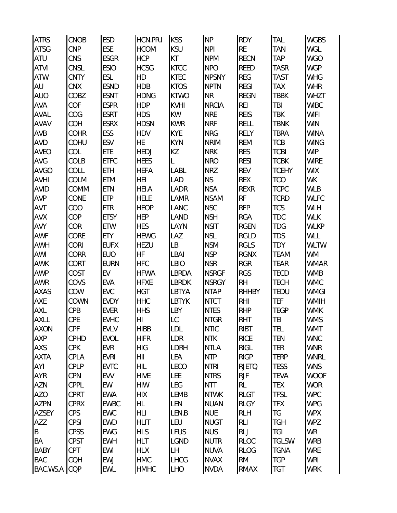| <b>ATRS</b> | <b>CNOB</b> | <b>ESD</b>  | HCN.PR.I       | <b>KSS</b>    | <b>NP</b>    | <b>RDY</b>   | TAL          | <b>WGBS</b> |
|-------------|-------------|-------------|----------------|---------------|--------------|--------------|--------------|-------------|
| <b>ATSG</b> | CNP         | ESE         | <b>HCOM</b>    | <b>KSU</b>    | <b>NPI</b>   | <b>RE</b>    | <b>TAN</b>   | WGL         |
| ATU         | CNS         | <b>ESGR</b> | <b>HCP</b>     | KT            | <b>NPM</b>   | <b>RECN</b>  | <b>TAP</b>   | <b>WGO</b>  |
| <b>ATVI</b> | CNSL        | <b>ESIO</b> | <b>HCSG</b>    | <b>KTCC</b>   | <b>NPO</b>   | <b>REED</b>  | <b>TASR</b>  | <b>WGP</b>  |
| <b>ATW</b>  | <b>CNTY</b> | ESL         | HD             | <b>KTEC</b>   | <b>NPSNY</b> | <b>REG</b>   | <b>TAST</b>  | <b>WHG</b>  |
| AU          | <b>CNX</b>  | <b>ESND</b> | <b>HDB</b>     | <b>KTOS</b>   | <b>NPTN</b>  | <b>REGI</b>  | TAX          | <b>WHR</b>  |
| <b>AUO</b>  | COBZ        | <b>ESNT</b> | <b>HDNG</b>    | <b>KTWO</b>   | <b>NR</b>    | <b>REGN</b>  | <b>TBBK</b>  | WHZT        |
| <b>AVA</b>  | COF         | <b>ESPR</b> | <b>HDP</b>     | <b>KVHI</b>   | <b>NRCIA</b> | <b>REI</b>   | TBI          | <b>WIBC</b> |
| AVAL        | COG         | <b>ESRT</b> | <b>HDS</b>     | KW            | <b>NRE</b>   | <b>REIS</b>  | <b>TBK</b>   | <b>WIFI</b> |
| <b>AVAV</b> | COH         | <b>ESRX</b> | <b>HDSN</b>    | <b>KWR</b>    | <b>NRF</b>   | <b>RELL</b>  | <b>TBNK</b>  | <b>WIN</b>  |
| AVB         | COHR        | ESS         | <b>HDV</b>     | <b>KYE</b>    | <b>NRG</b>   | <b>RELY</b>  | <b>TBRA</b>  | <b>WINA</b> |
| <b>AVD</b>  | COHU        | <b>ESV</b>  | HE             | <b>KYN</b>    | <b>NRIM</b>  | <b>REM</b>   | <b>TCB</b>   | <b>WING</b> |
| <b>AVEO</b> | COL         | ETE         | <b>HEDJ</b>    | KZ            | <b>NRK</b>   | <b>RES</b>   | <b>TCBI</b>  | <b>WIP</b>  |
| AVG         | COLB        | <b>ETFC</b> | <b>HEES</b>    | L             | <b>NRO</b>   | <b>RESI</b>  | <b>TCBK</b>  | <b>WIRE</b> |
| <b>AVGO</b> | COLL        | ETH         | <b>HEFA</b>    | LABL          | <b>NRZ</b>   | <b>REV</b>   | <b>TCEHY</b> | <b>WIX</b>  |
| <b>AVHI</b> | COLM        | ETM         | <b>HEI</b>     | <b>LAD</b>    | <b>NS</b>    | <b>REX</b>   | <b>TCO</b>   | <b>WK</b>   |
| <b>AVID</b> | COMM        | <b>ETN</b>  | <b>HEI.A</b>   | LADR          | <b>NSA</b>   | <b>REXR</b>  | <b>TCPC</b>  | <b>WLB</b>  |
| <b>AVP</b>  | CONE        | <b>ETP</b>  | <b>HELE</b>    | LAMR          | <b>NSAM</b>  | <b>RF</b>    | <b>TCRD</b>  | <b>WLFC</b> |
| AVT         | COO         | <b>ETR</b>  | <b>HEOP</b>    | LANC          | <b>NSC</b>   | <b>RFP</b>   | <b>TCS</b>   | WLH         |
| <b>AVX</b>  | COP         | <b>ETSY</b> | <b>HEP</b>     | LAND          | <b>NSH</b>   | <b>RGA</b>   | <b>TDC</b>   | <b>WLK</b>  |
| AVY         | COR         | ETW         | <b>HES</b>     | LAYN          | <b>NSIT</b>  | <b>RGEN</b>  | <b>TDG</b>   | <b>WLKP</b> |
| AWF         | CORE        | <b>ETY</b>  | <b>HEWG</b>    | LAZ           | <b>NSL</b>   | <b>RGLD</b>  | <b>TDS</b>   | WLL         |
| <b>AWH</b>  | <b>CORI</b> | <b>EUFX</b> | HEZU           | LB            | <b>NSM</b>   | <b>RGLS</b>  | <b>TDY</b>   | <b>WLTW</b> |
| AWI         | CORR        | <b>EUO</b>  | HF             | <b>LBAI</b>   | <b>NSP</b>   | <b>RGNX</b>  | <b>TEAM</b>  | <b>WM</b>   |
| <b>AWK</b>  | CORT        | <b>EURN</b> | <b>HFC</b>     | <b>LBIO</b>   | <b>NSR</b>   | <b>RGR</b>   | <b>TEAR</b>  | <b>WMAR</b> |
| <b>AWP</b>  | COST        | EV          | <b>HFWA</b>    | LBRDA         | <b>NSRGF</b> | <b>RGS</b>   | <b>TECD</b>  | <b>WMB</b>  |
| <b>AWR</b>  | COVS        | EVA         | <b>HFXE</b>    | <b>LBRDK</b>  | <b>NSRGY</b> | <b>RH</b>    | <b>TECH</b>  | <b>WMC</b>  |
| <b>AXAS</b> | COW         | EVC         | <b>HGT</b>     | LBTYA         | <b>NTAP</b>  | <b>RHHBY</b> | <b>TEDU</b>  | <b>WMGI</b> |
| AXE         | COWN        | <b>EVDY</b> | <b>HHC</b>     | <b>LBTYK</b>  | <b>NTCT</b>  | <b>RHI</b>   | <b>TEF</b>   | <b>WMIH</b> |
| AXL         | CPB         | <b>EVER</b> | <b>HHS</b>     | LBY           | <b>NTES</b>  | <b>RHP</b>   | <b>TEGP</b>  | <b>WMK</b>  |
| <b>AXLL</b> | CPE         | <b>EVHC</b> | H <sub>l</sub> | $\mathsf{LC}$ | <b>NTGR</b>  | <b>RHT</b>   | TEI          | <b>WMS</b>  |
| <b>AXON</b> | CPF         | <b>EVLV</b> | <b>HIBB</b>    | <b>LDL</b>    | <b>NTIC</b>  | <b>RIBT</b>  | <b>TEL</b>   | <b>WMT</b>  |
| <b>AXP</b>  | CPHD        | <b>EVOL</b> | <b>HIFR</b>    | LDR           | <b>NTK</b>   | <b>RICE</b>  | <b>TEN</b>   | <b>WNC</b>  |
| AXS         | <b>CPK</b>  | <b>EVR</b>  | <b>HIG</b>     | LDRH          | <b>NTLA</b>  | <b>RIGL</b>  | <b>TER</b>   | <b>WNR</b>  |
| <b>AXTA</b> | CPLA        | <b>EVRI</b> | HII            | LEA           | <b>NTP</b>   | <b>RIGP</b>  | <b>TERP</b>  | <b>WNRL</b> |
| AYI         | CPLP        | <b>EVTC</b> | <b>HIL</b>     | LECO          | <b>NTRI</b>  | <b>RJETQ</b> | <b>TESS</b>  | <b>WNS</b>  |
| <b>AYR</b>  | <b>CPN</b>  | <b>EVV</b>  | <b>HIVE</b>    | <b>LEE</b>    | <b>NTRS</b>  | <b>RJF</b>   | <b>TEVA</b>  | <b>WOOF</b> |
| AZN         | CPPL        | EW          | <b>HIW</b>     | LEG           | <b>NTT</b>   | RL           | <b>TEX</b>   | <b>WOR</b>  |
| <b>AZO</b>  | CPRT        | <b>EWA</b>  | <b>HIX</b>     | <b>LEMB</b>   | <b>NTWK</b>  | <b>RLGT</b>  | <b>TFSL</b>  | <b>WPC</b>  |
| <b>AZPN</b> | <b>CPRX</b> | <b>EWBC</b> | HL             | LEN           | <b>NUAN</b>  | <b>RLGY</b>  | <b>TFX</b>   | <b>WPG</b>  |
| AZSEY       | <b>CPS</b>  | <b>EWC</b>  | <b>HLI</b>     | LEN.B         | <b>NUE</b>   | <b>RLH</b>   | TG           | <b>WPX</b>  |
| AZZ         | <b>CPSI</b> | <b>EWD</b>  | <b>HLIT</b>    | LEU           | <b>NUGT</b>  | <b>RLI</b>   | <b>TGH</b>   | <b>WPZ</b>  |
| B           | <b>CPSS</b> | <b>EWG</b>  | <b>HLS</b>     | <b>LFUS</b>   | <b>NUS</b>   | <b>RLJ</b>   | TGI          | <b>WR</b>   |
| BA          | <b>CPST</b> | <b>EWH</b>  | <b>HLT</b>     | <b>LGND</b>   | <b>NUTR</b>  | <b>RLOC</b>  | <b>TGLSW</b> | <b>WRB</b>  |
| <b>BABY</b> | CPT         | EWI         | <b>HLX</b>     | LH            | <b>NUVA</b>  | <b>RLOG</b>  | <b>TGNA</b>  | <b>WRE</b>  |
| <b>BAC</b>  | CQH         | EWJ         | <b>HMC</b>     | <b>LHCG</b>   | <b>NVAX</b>  | <b>RM</b>    | <b>TGP</b>   | WRI         |
| BAC.WS.A    | CQP         | EWL         | <b>HMHC</b>    | <b>LHO</b>    | <b>NVDA</b>  | <b>RMAX</b>  | <b>TGT</b>   | <b>WRK</b>  |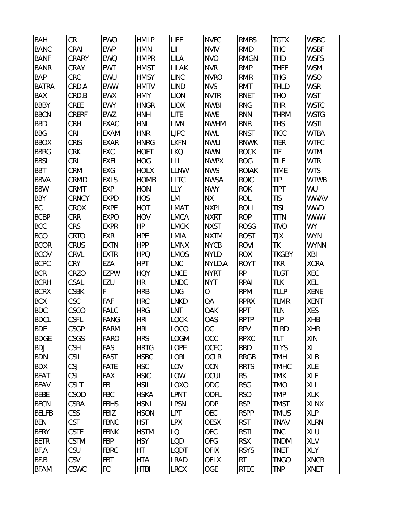| <b>BAH</b>   | CR          | <b>EWO</b>  | <b>HMLP</b> | LIFE         | <b>NVEC</b> | <b>RMBS</b>  | <b>TGTX</b>  | <b>WSBC</b> |
|--------------|-------------|-------------|-------------|--------------|-------------|--------------|--------------|-------------|
| <b>BANC</b>  | CRAI        | <b>EWP</b>  | <b>HMN</b>  | $L$ II       | <b>NVIV</b> | <b>RMD</b>   | <b>THC</b>   | <b>WSBF</b> |
| <b>BANF</b>  | CRARY       | <b>EWQ</b>  | <b>HMPR</b> | LILA         | <b>NVO</b>  | <b>RMGN</b>  | <b>THD</b>   | <b>WSFS</b> |
| <b>BANR</b>  | CRAY        | <b>EWT</b>  | <b>HMST</b> | <b>LILAK</b> | <b>NVR</b>  | <b>RMP</b>   | <b>THFF</b>  | <b>WSM</b>  |
| <b>BAP</b>   | CRC         | <b>EWU</b>  | <b>HMSY</b> | <b>LINC</b>  | <b>NVRO</b> | RMR          | <b>THG</b>   | <b>WSO</b>  |
| <b>BATRA</b> | CRD.A       | <b>EWW</b>  | <b>HMTV</b> | <b>LIND</b>  | <b>NVS</b>  | RMT          | THLD         | <b>WSR</b>  |
| BAX          | CRD.B       | <b>EWX</b>  | <b>HMY</b>  | <b>LION</b>  | <b>NVTR</b> | RNET         | <b>THO</b>   | <b>WST</b>  |
| <b>BBBY</b>  | CREE        | <b>EWY</b>  | <b>HNGR</b> | <b>LIOX</b>  | <b>NWBI</b> | <b>RNG</b>   | <b>THR</b>   | <b>WSTC</b> |
| <b>BBCN</b>  | CRERF       | EWZ         | <b>HNH</b>  | <b>LITE</b>  | <b>NWE</b>  | <b>RNN</b>   | <b>THRM</b>  | <b>WSTG</b> |
| <b>BBD</b>   | CRH         | <b>EXAC</b> | <b>HNI</b>  | <b>LIVN</b>  | <b>NWHM</b> | <b>RNR</b>   | <b>THS</b>   | <b>WSTL</b> |
| <b>BBG</b>   | <b>CRI</b>  | <b>EXAM</b> | <b>HNR</b>  | <b>LJPC</b>  | <b>NWL</b>  | <b>RNST</b>  | <b>TICC</b>  | <b>WTBA</b> |
| <b>BBOX</b>  | CRIS        | <b>EXAR</b> | <b>HNRG</b> | <b>LKFN</b>  | <b>NWLI</b> | <b>RNWK</b>  | <b>TIER</b>  | <b>WTFC</b> |
| <b>BBRG</b>  | <b>CRK</b>  | EXC         | <b>HOFT</b> | <b>LKQ</b>   | <b>NWN</b>  | <b>ROCK</b>  | TIF          | <b>WTM</b>  |
| <b>BBSI</b>  | CRL         | <b>EXEL</b> | <b>HOG</b>  | LLL          | <b>NWPX</b> | <b>ROG</b>   | TILE         | <b>WTR</b>  |
| <b>BBT</b>   | <b>CRM</b>  | EXG         | <b>HOLX</b> | <b>LLNW</b>  | <b>NWS</b>  | <b>ROIAK</b> | <b>TIME</b>  | <b>WTS</b>  |
| <b>BBVA</b>  | CRMD        | <b>EXLS</b> | <b>HOMB</b> | <b>LLTC</b>  | <b>NWSA</b> | <b>ROIC</b>  | TIP          | <b>WTWB</b> |
| <b>BBW</b>   | CRMT        | <b>EXP</b>  | HON         | LLY          | <b>NWY</b>  | <b>ROK</b>   | <b>TIPT</b>  | WU          |
| <b>BBY</b>   | CRNCY       | <b>EXPD</b> | <b>HOS</b>  | LM           | <b>NΧ</b>   | <b>ROL</b>   | <b>TIS</b>   | <b>WWAV</b> |
| BC           | CROX        | <b>EXPE</b> | <b>HOT</b>  | LMAT         | <b>NXPI</b> | <b>ROLL</b>  | <b>TISI</b>  | <b>WWD</b>  |
| <b>BCBP</b>  | <b>CRR</b>  | <b>EXPO</b> | <b>HOV</b>  | <b>LMCA</b>  | <b>NXRT</b> | <b>ROP</b>   | <b>TITN</b>  | <b>WWW</b>  |
| <b>BCC</b>   | <b>CRS</b>  | <b>EXPR</b> | <b>HP</b>   | <b>LMCK</b>  | <b>NXST</b> | <b>ROSG</b>  | <b>TIVO</b>  | <b>WY</b>   |
| <b>BCO</b>   | CRTO        | EXR         | <b>HPE</b>  | LMIA         | <b>NXTM</b> | <b>ROST</b>  | TJX          | <b>WYN</b>  |
| <b>BCOR</b>  | CRUS        | <b>EXTN</b> | <b>HPP</b>  | <b>LMNX</b>  | <b>NYCB</b> | <b>ROVI</b>  | TK           | <b>WYNN</b> |
| <b>BCOV</b>  | CRVL        | <b>EXTR</b> | <b>HPQ</b>  | <b>LMOS</b>  | <b>NYLD</b> | <b>ROX</b>   | <b>TKGBY</b> | XBI         |
| <b>BCPC</b>  | <b>CRY</b>  | EZA         | <b>HPT</b>  | <b>LNC</b>   | NYLD.A      | <b>ROYT</b>  | <b>TKR</b>   | <b>XCRA</b> |
| <b>BCR</b>   | CRZO        | <b>EZPW</b> | <b>HQY</b>  | <b>LNCE</b>  | <b>NYRT</b> | <b>RP</b>    | <b>TLGT</b>  | XEC         |
| <b>BCRH</b>  | CSAL        | EZU         | HR          | <b>LNDC</b>  | <b>NYT</b>  | <b>RPAI</b>  | TLK          | XEL         |
| <b>BCRX</b>  | <b>CSBK</b> | F           | <b>HRB</b>  | <b>LNG</b>   | О           | <b>RPM</b>   | <b>TLLP</b>  | <b>XENE</b> |
| <b>BCX</b>   | CSC         | FAF         | <b>HRC</b>  | <b>LNKD</b>  | OA          | <b>RPRX</b>  | <b>TLMR</b>  | <b>XENT</b> |
| <b>BDC</b>   | CSCO        | <b>FALC</b> | <b>HRG</b>  | <b>LNT</b>   | OAK         | <b>RPT</b>   | TLN          | XES         |
| <b>BDCL</b>  | <b>CSFL</b> | FANG        | <b>HRI</b>  | LOCK         | OAS         | <b>RPTP</b>  | <b>TLP</b>   | <b>XHB</b>  |
| <b>BDE</b>   | <b>CSGP</b> | FARM        | <b>HRL</b>  | LOCO         | <b>OC</b>   | <b>RPV</b>   | <b>TLRD</b>  | <b>XHR</b>  |
| <b>BDGE</b>  | CSGS        | <b>FARO</b> | <b>HRS</b>  | <b>LOGM</b>  | OCC         | <b>RPXC</b>  | <b>TLT</b>   | XIN         |
| <b>BDJ</b>   | <b>CSH</b>  | FAS         | <b>HRTG</b> | <b>LOPE</b>  | OCFC        | <b>RRD</b>   | <b>TLYS</b>  | XL          |
| <b>BDN</b>   | <b>CSII</b> | FAST        | <b>HSBC</b> | LORL         | <b>OCLR</b> | <b>RRGB</b>  | <b>TMH</b>   | XLB         |
| <b>BDX</b>   | <b>CSJ</b>  | <b>FATE</b> | <b>HSC</b>  | LOV          | <b>OCN</b>  | <b>RRTS</b>  | <b>TMHC</b>  | <b>XLE</b>  |
| <b>BEAT</b>  | CSL         | <b>FAX</b>  | <b>HSIC</b> | LOW          | OCUL        | <b>RS</b>    | <b>TMK</b>   | <b>XLF</b>  |
| <b>BEAV</b>  | CSLT        | <b>FB</b>   | <b>HSII</b> | LOXO         | ODC         | <b>RSG</b>   | <b>TMO</b>   | XLI         |
| <b>BEBE</b>  | CSOD        | <b>FBC</b>  | <b>HSKA</b> | <b>LPNT</b>  | ODFL        | <b>RSO</b>   | <b>TMP</b>   | <b>XLK</b>  |
| <b>BECN</b>  | CSRA        | <b>FBHS</b> | <b>HSNI</b> | <b>LPSN</b>  | <b>ODP</b>  | <b>RSP</b>   | <b>TMST</b>  | <b>XLNX</b> |
| <b>BELFB</b> | <b>CSS</b>  | <b>FBIZ</b> | <b>HSON</b> | <b>LPT</b>   | OEC         | <b>RSPP</b>  | <b>TMUS</b>  | <b>XLP</b>  |
| <b>BEN</b>   | <b>CST</b>  | <b>FBNC</b> | <b>HST</b>  | <b>LPX</b>   | <b>OESX</b> | <b>RST</b>   | <b>TNAV</b>  | <b>XLRN</b> |
| <b>BERY</b>  | <b>CSTE</b> | <b>FBNK</b> | <b>HSTM</b> | LQ           | OFC         | <b>RSTI</b>  | <b>TNC</b>   | XLU         |
| <b>BETR</b>  | <b>CSTM</b> | <b>FBP</b>  | <b>HSY</b>  | LQD          | OFG         | <b>RSX</b>   | <b>TNDM</b>  | XLV         |
| BF.A         | <b>CSU</b>  | <b>FBRC</b> | HT          | LQDT         | <b>OFIX</b> | <b>RSYS</b>  | <b>TNET</b>  | XLY         |
| BF.B         | <b>CSV</b>  | <b>FBT</b>  | <b>HTA</b>  | <b>LRAD</b>  | <b>OFLX</b> | RT           | <b>TNGO</b>  | <b>XNCR</b> |
| <b>BFAM</b>  | <b>CSWC</b> | FC          | <b>HTBI</b> | <b>LRCX</b>  | OGE         | <b>RTEC</b>  | <b>TNP</b>   | <b>XNET</b> |